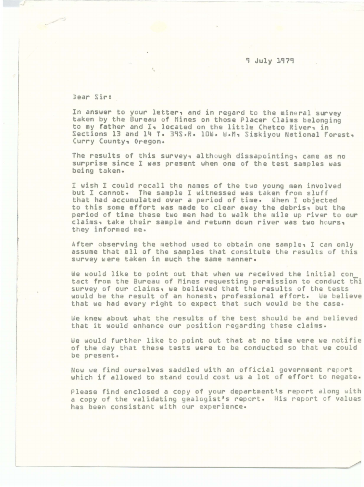## . 9 July 1979

Dear Sir:

I

In answer to your letter, and in regard to the mineral survey taken by the Bureau of Mines on those Placer Claims belonging to my father and I, located on the little Chetco River, in Sections 13 and 14 T. 39S.R. 10W. W.M. Siskiyou National Forest, Curry County, Oregon.

The results of this survey, although dissapointing, came as no surprise since I was present when one of the test samples was being taken.

I wish I could recall the names of the two young men involved but I cannot. The sample I witnessed was taken from sluff that had accumulated over a period of time. When I objected to this some effort was made to clear away the debris, but the period of time these two men had to walk the mile up river to our claims, take their sample and retunn down river was two hours, they informed me.

After observing the method used to obtain one sample, I can only assume that all of the samples that consitute the results of this survey were taken in much the same manner .

We would like to point out that when we received tha initial con tact from the Bureau of Mines requesting permission to conduct thi survey of our claims, we believed that the results of the tests would be the result of an honest, professional effort. *We* believe that we had every right to expect that such would be the case.

We knew about what the results of the test should be and believed that it would enhance our position regarding these claims.

We would further like to point out that at no time were we notifie of the day that these tests were to be conducted so that we could be present.

Now we find ourselves saddled with an official government report which if allowed to stand could cost us a lot of effort to negate.

Please find enclosed a copy of your department's report along with a copy of the validating gealogist's report. His report of values has been consistant with our experience.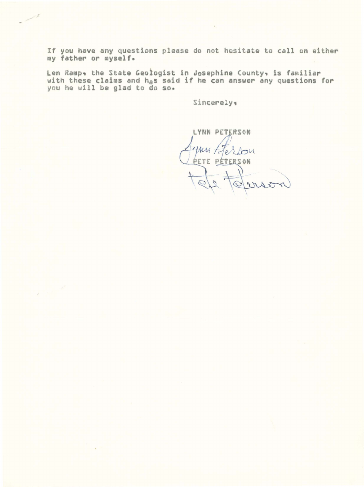If you have any questions please do not hesitate to call on either my father or myself.

Len Ramp, the State Geologist in Josephine County, is familiar<br>with these claims and h<sub>a</sub>s said if he can answer any questions for<br>you he will be glad to do so.

Sincerely:

LYNN PETERSON

Mu te erson PETE PÉTERSON